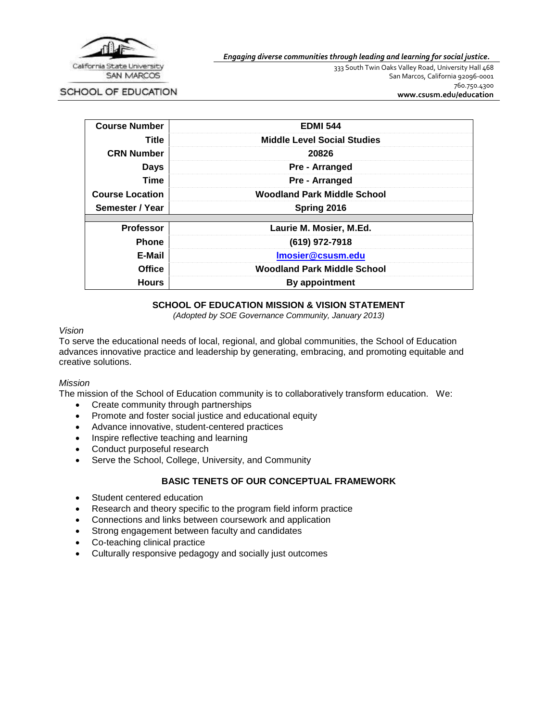

#### *Engaging diverse communities through leading and learning for social justice.*

333 South Twin Oaks Valley Road, University Hall 468 San Marcos, California 92096-0001 760.750.4300 **[www.csusm.edu/education](http://www.csusm.edu/education)**

SCHOOL OF EDUCATION

| <b>Course Number</b>   | <b>EDMI 544</b>                    |  |
|------------------------|------------------------------------|--|
| Title                  | <b>Middle Level Social Studies</b> |  |
| <b>CRN Number</b>      | 20826                              |  |
| <b>Days</b>            | <b>Pre - Arranged</b>              |  |
| Time                   | Pre - Arranged                     |  |
| <b>Course Location</b> | <b>Woodland Park Middle School</b> |  |
| Semester / Year        | Spring 2016                        |  |
| <b>Professor</b>       | Laurie M. Mosier, M.Ed.            |  |
| <b>Phone</b>           | (619) 972-7918                     |  |
| E-Mail                 | Imosier@csusm.edu                  |  |
| <b>Office</b>          | <b>Woodland Park Middle School</b> |  |
| <b>Hours</b>           | By appointment                     |  |

## **SCHOOL OF EDUCATION MISSION & VISION STATEMENT**

*(Adopted by SOE Governance Community, January 2013)*

#### *Vision*

To serve the educational needs of local, regional, and global communities, the School of Education advances innovative practice and leadership by generating, embracing, and promoting equitable and creative solutions.

#### *Mission*

The mission of the School of Education community is to collaboratively transform education. We:

- Create community through partnerships
- Promote and foster social justice and educational equity
- Advance innovative, student-centered practices
- Inspire reflective teaching and learning
- Conduct purposeful research
- Serve the School, College, University, and Community

## **BASIC TENETS OF OUR CONCEPTUAL FRAMEWORK**

- Student centered education
- Research and theory specific to the program field inform practice
- Connections and links between coursework and application
- Strong engagement between faculty and candidates
- Co-teaching clinical practice
- Culturally responsive pedagogy and socially just outcomes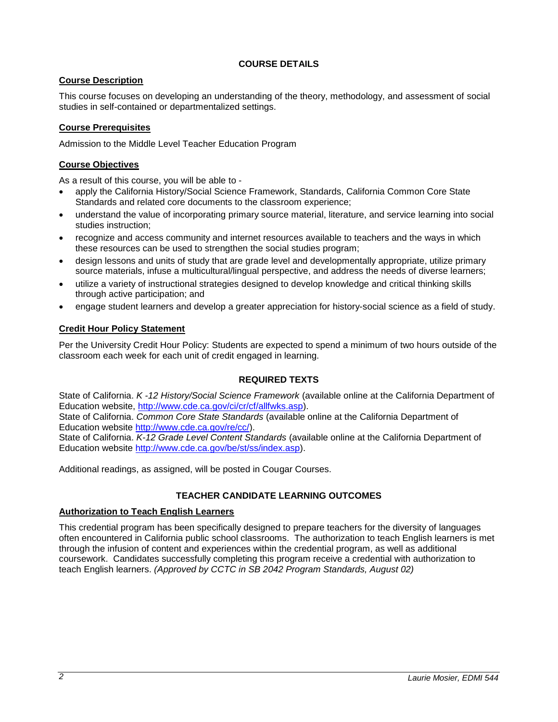## **COURSE DETAILS**

## **Course Description**

This course focuses on developing an understanding of the theory, methodology, and assessment of social studies in self-contained or departmentalized settings.

## **Course Prerequisites**

Admission to the Middle Level Teacher Education Program

## **Course Objectives**

As a result of this course, you will be able to -

- apply the California History/Social Science Framework, Standards, California Common Core State Standards and related core documents to the classroom experience;
- understand the value of incorporating primary source material, literature, and service learning into social studies instruction;
- recognize and access community and internet resources available to teachers and the ways in which these resources can be used to strengthen the social studies program;
- design lessons and units of study that are grade level and developmentally appropriate, utilize primary source materials, infuse a multicultural/lingual perspective, and address the needs of diverse learners;
- utilize a variety of instructional strategies designed to develop knowledge and critical thinking skills through active participation; and
- engage student learners and develop a greater appreciation for history-social science as a field of study.

## **Credit Hour Policy Statement**

Per the University Credit Hour Policy: Students are expected to spend a minimum of two hours outside of the classroom each week for each unit of credit engaged in learning.

## **REQUIRED TEXTS**

State of California. *K -12 History/Social Science Framework* (available online at the California Department of Education website, [http://www.cde.ca.gov/ci/cr/cf/allfwks.asp\)](http://www.cde.ca.gov/ci/cr/cf/allfwks.asp). State of California. *Common Core State Standards* (available online at the California Department of Education website [http://www.cde.ca.gov/re/cc/\)](http://www.cde.ca.gov/re/cc/). State of California. *K-12 Grade Level Content Standards* (available online at the California Department of Education website [http://www.cde.ca.gov/be/st/ss/index.asp\)](http://www.cde.ca.gov/be/st/ss/index.asp).

Additional readings, as assigned, will be posted in Cougar Courses.

# **TEACHER CANDIDATE LEARNING OUTCOMES**

## **Authorization to Teach English Learners**

This credential program has been specifically designed to prepare teachers for the diversity of languages often encountered in California public school classrooms. The authorization to teach English learners is met through the infusion of content and experiences within the credential program, as well as additional coursework. Candidates successfully completing this program receive a credential with authorization to teach English learners. *(Approved by CCTC in SB 2042 Program Standards, August 02)*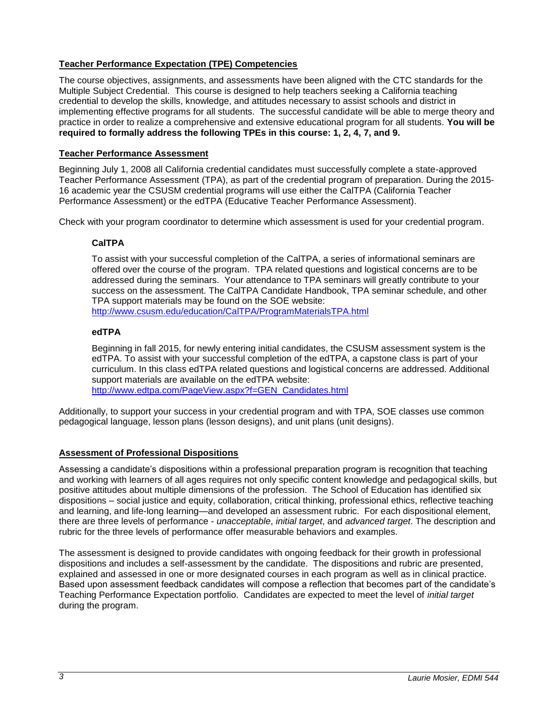# **Teacher Performance Expectation (TPE) Competencies**

The course objectives, assignments, and assessments have been aligned with the CTC standards for the Multiple Subject Credential. This course is designed to help teachers seeking a California teaching credential to develop the skills, knowledge, and attitudes necessary to assist schools and district in implementing effective programs for all students. The successful candidate will be able to merge theory and practice in order to realize a comprehensive and extensive educational program for all students. **You will be required to formally address the following TPEs in this course: 1, 2, 4, 7, and 9.**

# **Teacher Performance Assessment**

Beginning July 1, 2008 all California credential candidates must successfully complete a state-approved Teacher Performance Assessment (TPA), as part of the credential program of preparation. During the 2015- 16 academic year the CSUSM credential programs will use either the CalTPA (California Teacher Performance Assessment) or the edTPA (Educative Teacher Performance Assessment).

Check with your program coordinator to determine which assessment is used for your credential program.

# **CalTPA**

To assist with your successful completion of the CalTPA, a series of informational seminars are offered over the course of the program. TPA related questions and logistical concerns are to be addressed during the seminars. Your attendance to TPA seminars will greatly contribute to your success on the assessment. The CalTPA Candidate Handbook, TPA seminar schedule, and other TPA support materials may be found on the SOE website: <http://www.csusm.edu/education/CalTPA/ProgramMaterialsTPA.html>

## **edTPA**

Beginning in fall 2015, for newly entering initial candidates, the CSUSM assessment system is the edTPA. To assist with your successful completion of the edTPA, a capstone class is part of your curriculum. In this class edTPA related questions and logistical concerns are addressed. Additional support materials are available on the edTPA website: [http://www.edtpa.com/PageView.aspx?f=GEN\\_Candidates.html](http://www.edtpa.com/PageView.aspx?f=GEN_Candidates.html)

Additionally, to support your success in your credential program and with TPA, SOE classes use common pedagogical language, lesson plans (lesson designs), and unit plans (unit designs).

## **Assessment of Professional Dispositions**

Assessing a candidate's dispositions within a professional preparation program is recognition that teaching and working with learners of all ages requires not only specific content knowledge and pedagogical skills, but positive attitudes about multiple dimensions of the profession. The School of Education has identified six dispositions – social justice and equity, collaboration, critical thinking, professional ethics, reflective teaching and learning, and life-long learning—and developed an assessment rubric. For each dispositional element, there are three levels of performance - *unacceptable*, *initial target*, and *advanced target*. The description and rubric for the three levels of performance offer measurable behaviors and examples.

The assessment is designed to provide candidates with ongoing feedback for their growth in professional dispositions and includes a self-assessment by the candidate. The dispositions and rubric are presented, explained and assessed in one or more designated courses in each program as well as in clinical practice. Based upon assessment feedback candidates will compose a reflection that becomes part of the candidate's Teaching Performance Expectation portfolio. Candidates are expected to meet the level of *initial target* during the program.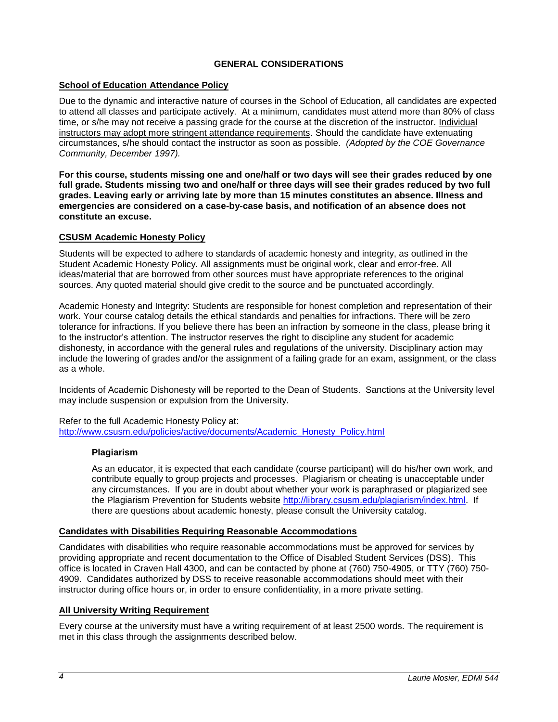## **GENERAL CONSIDERATIONS**

## **School of Education Attendance Policy**

Due to the dynamic and interactive nature of courses in the School of Education, all candidates are expected to attend all classes and participate actively. At a minimum, candidates must attend more than 80% of class time, or s/he may not receive a passing grade for the course at the discretion of the instructor. Individual instructors may adopt more stringent attendance requirements. Should the candidate have extenuating circumstances, s/he should contact the instructor as soon as possible. *(Adopted by the COE Governance Community, December 1997).*

**For this course, students missing one and one/half or two days will see their grades reduced by one full grade. Students missing two and one/half or three days will see their grades reduced by two full grades. Leaving early or arriving late by more than 15 minutes constitutes an absence. Illness and emergencies are considered on a case-by-case basis, and notification of an absence does not constitute an excuse.**

### **CSUSM Academic Honesty Policy**

Students will be expected to adhere to standards of academic honesty and integrity, as outlined in the Student Academic Honesty Policy. All assignments must be original work, clear and error-free. All ideas/material that are borrowed from other sources must have appropriate references to the original sources. Any quoted material should give credit to the source and be punctuated accordingly.

Academic Honesty and Integrity: Students are responsible for honest completion and representation of their work. Your course catalog details the ethical standards and penalties for infractions. There will be zero tolerance for infractions. If you believe there has been an infraction by someone in the class, please bring it to the instructor's attention. The instructor reserves the right to discipline any student for academic dishonesty, in accordance with the general rules and regulations of the university. Disciplinary action may include the lowering of grades and/or the assignment of a failing grade for an exam, assignment, or the class as a whole.

Incidents of Academic Dishonesty will be reported to the Dean of Students. Sanctions at the University level may include suspension or expulsion from the University.

Refer to the full Academic Honesty Policy at: [http://www.csusm.edu/policies/active/documents/Academic\\_Honesty\\_Policy.html](http://www.csusm.edu/policies/active/documents/Academic_Honesty_Policy.html)

#### **Plagiarism**

As an educator, it is expected that each candidate (course participant) will do his/her own work, and contribute equally to group projects and processes. Plagiarism or cheating is unacceptable under any circumstances. If you are in doubt about whether your work is paraphrased or plagiarized see the Plagiarism Prevention for Students website [http://library.csusm.edu/plagiarism/index.html.](http://library.csusm.edu/plagiarism/index.html) If there are questions about academic honesty, please consult the University catalog.

#### **Candidates with Disabilities Requiring Reasonable Accommodations**

Candidates with disabilities who require reasonable accommodations must be approved for services by providing appropriate and recent documentation to the Office of Disabled Student Services (DSS). This office is located in Craven Hall 4300, and can be contacted by phone at (760) 750-4905, or TTY (760) 750- 4909. Candidates authorized by DSS to receive reasonable accommodations should meet with their instructor during office hours or, in order to ensure confidentiality, in a more private setting.

#### **All University Writing Requirement**

Every course at the university must have a writing requirement of at least 2500 words. The requirement is met in this class through the assignments described below.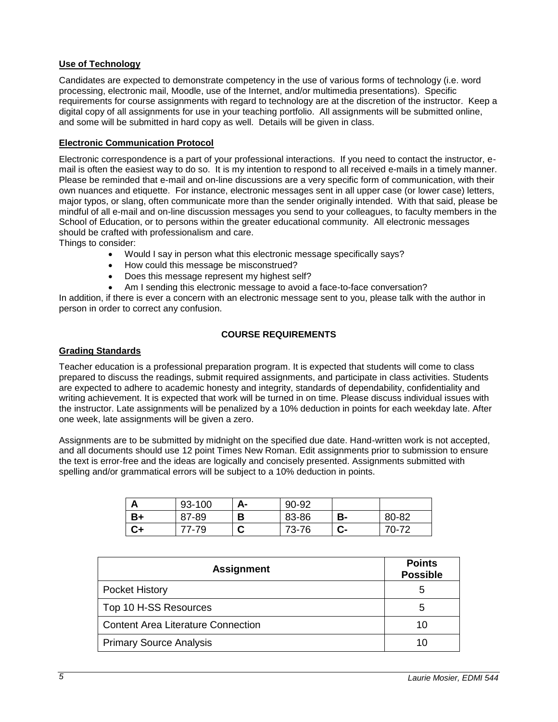## **Use of Technology**

Candidates are expected to demonstrate competency in the use of various forms of technology (i.e. word processing, electronic mail, Moodle, use of the Internet, and/or multimedia presentations). Specific requirements for course assignments with regard to technology are at the discretion of the instructor. Keep a digital copy of all assignments for use in your teaching portfolio. All assignments will be submitted online, and some will be submitted in hard copy as well. Details will be given in class.

## **Electronic Communication Protocol**

Electronic correspondence is a part of your professional interactions. If you need to contact the instructor, email is often the easiest way to do so. It is my intention to respond to all received e-mails in a timely manner. Please be reminded that e-mail and on-line discussions are a very specific form of communication, with their own nuances and etiquette. For instance, electronic messages sent in all upper case (or lower case) letters, major typos, or slang, often communicate more than the sender originally intended. With that said, please be mindful of all e-mail and on-line discussion messages you send to your colleagues, to faculty members in the School of Education, or to persons within the greater educational community. All electronic messages should be crafted with professionalism and care.

Things to consider:

- Would I say in person what this electronic message specifically says?
- How could this message be misconstrued?
- Does this message represent my highest self?
- Am I sending this electronic message to avoid a face-to-face conversation?

In addition, if there is ever a concern with an electronic message sent to you, please talk with the author in person in order to correct any confusion.

## **COURSE REQUIREMENTS**

## **Grading Standards**

Teacher education is a professional preparation program. It is expected that students will come to class prepared to discuss the readings, submit required assignments, and participate in class activities. Students are expected to adhere to academic honesty and integrity, standards of dependability, confidentiality and writing achievement. It is expected that work will be turned in on time. Please discuss individual issues with the instructor. Late assignments will be penalized by a 10% deduction in points for each weekday late. After one week, late assignments will be given a zero.

Assignments are to be submitted by midnight on the specified due date. Hand-written work is not accepted, and all documents should use 12 point Times New Roman. Edit assignments prior to submission to ensure the text is error-free and the ideas are logically and concisely presented. Assignments submitted with spelling and/or grammatical errors will be subject to a 10% deduction in points.

| Л  | 93-100 | А- | 90-92 |         |       |
|----|--------|----|-------|---------|-------|
| B+ | 87-89  | В  | 83-86 | в-      | 80-82 |
| C+ | 77-79  | u  | 73-76 | ◠<br>v- | 70-72 |

| <b>Assignment</b>                         | <b>Points</b><br><b>Possible</b> |
|-------------------------------------------|----------------------------------|
| <b>Pocket History</b>                     | 5                                |
| Top 10 H-SS Resources                     | 5                                |
| <b>Content Area Literature Connection</b> | 10                               |
| <b>Primary Source Analysis</b>            |                                  |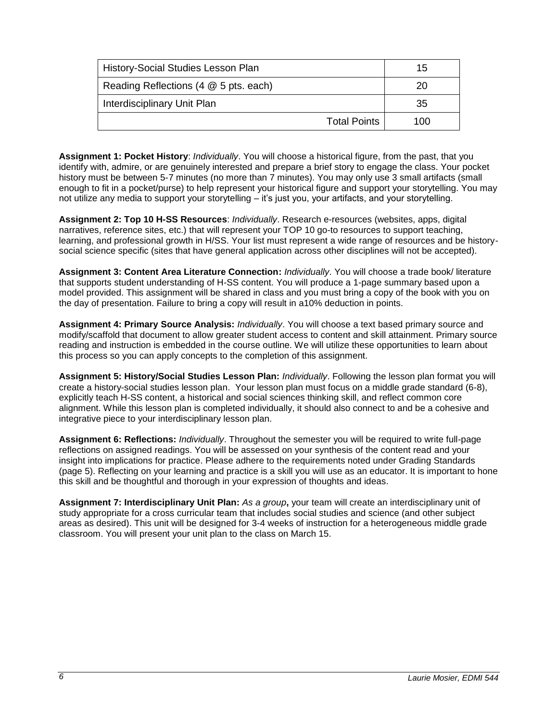| History-Social Studies Lesson Plan    | 15  |
|---------------------------------------|-----|
| Reading Reflections (4 @ 5 pts. each) | 20  |
| Interdisciplinary Unit Plan           | 35  |
| <b>Total Points</b>                   | 100 |

**Assignment 1: Pocket History**: *Individually*. You will choose a historical figure, from the past, that you identify with, admire, or are genuinely interested and prepare a brief story to engage the class. Your pocket history must be between 5-7 minutes (no more than 7 minutes). You may only use 3 small artifacts (small enough to fit in a pocket/purse) to help represent your historical figure and support your storytelling. You may not utilize any media to support your storytelling – it's just you, your artifacts, and your storytelling.

**Assignment 2: Top 10 H-SS Resources**: *Individually*. Research e-resources (websites, apps, digital narratives, reference sites, etc.) that will represent your TOP 10 go-to resources to support teaching, learning, and professional growth in H/SS. Your list must represent a wide range of resources and be historysocial science specific (sites that have general application across other disciplines will not be accepted).

**Assignment 3: Content Area Literature Connection:** *Individually*. You will choose a trade book/ literature that supports student understanding of H-SS content. You will produce a 1-page summary based upon a model provided. This assignment will be shared in class and you must bring a copy of the book with you on the day of presentation. Failure to bring a copy will result in a10% deduction in points.

**Assignment 4: Primary Source Analysis:** *Individually*. You will choose a text based primary source and modify/scaffold that document to allow greater student access to content and skill attainment. Primary source reading and instruction is embedded in the course outline. We will utilize these opportunities to learn about this process so you can apply concepts to the completion of this assignment.

**Assignment 5: History/Social Studies Lesson Plan:** *Individually*. Following the lesson plan format you will create a history-social studies lesson plan. Your lesson plan must focus on a middle grade standard (6-8), explicitly teach H-SS content, a historical and social sciences thinking skill, and reflect common core alignment. While this lesson plan is completed individually, it should also connect to and be a cohesive and integrative piece to your interdisciplinary lesson plan.

**Assignment 6: Reflections:** *Individually*. Throughout the semester you will be required to write full-page reflections on assigned readings. You will be assessed on your synthesis of the content read and your insight into implications for practice. Please adhere to the requirements noted under Grading Standards (page 5). Reflecting on your learning and practice is a skill you will use as an educator. It is important to hone this skill and be thoughtful and thorough in your expression of thoughts and ideas.

**Assignment 7: Interdisciplinary Unit Plan:** *As a group***,** your team will create an interdisciplinary unit of study appropriate for a cross curricular team that includes social studies and science (and other subject areas as desired). This unit will be designed for 3-4 weeks of instruction for a heterogeneous middle grade classroom. You will present your unit plan to the class on March 15.